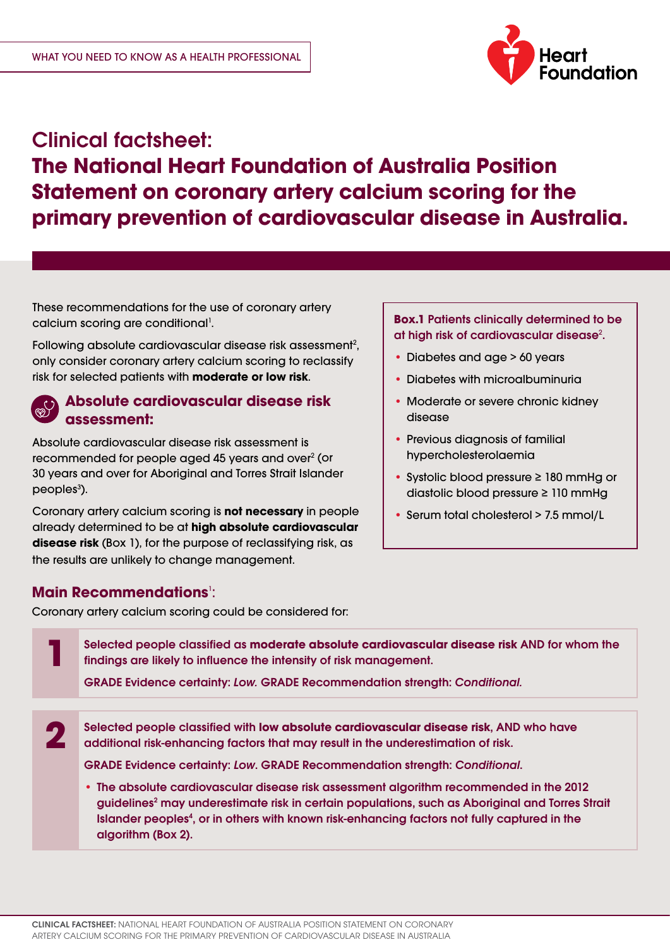

# Clinical factsheet: **The National Heart Foundation of Australia Position Statement on coronary artery calcium scoring for the primary prevention of cardiovascular disease in Australia.**

These recommendations for the use of coronary artery calcium scoring are conditional<sup>1</sup>.

Following absolute cardiovascular disease risk assessment<sup>2</sup>, only consider coronary artery calcium scoring to reclassify risk for selected patients with **moderate or low risk**.

## **Absolute cardiovascular disease risk assessment:**

Absolute cardiovascular disease risk assessment is recommended for people aged 45 years and over<sup>2</sup> (or 30 years and over for Aboriginal and Torres Strait Islander peoples<sup>3</sup>).

Coronary artery calcium scoring is **not necessary** in people already determined to be at **high absolute cardiovascular disease risk** (Box 1), for the purpose of reclassifying risk, as the results are unlikely to change management.

### **Box.1** Patients clinically determined to be at high risk of cardiovascular disease<sup>2</sup>.

- Diabetes and age > 60 years
- Diabetes with microalbuminuria
- Moderate or severe chronic kidney disease
- Previous diagnosis of familial hypercholesterolaemia
- Systolic blood pressure ≥ 180 mmHg or diastolic blood pressure ≥ 110 mmHg
- Serum total cholesterol > 7.5 mmol/L

## **Main Recommendations**<sup>1</sup>:

Coronary artery calcium scoring could be considered for:

Selected people classified as **moderate absolute cardiovascular disease risk** AND for whom the findings are likely to influence the intensity of risk management. GRADE Evidence certainty: *Low.* GRADE Recommendation strength: *Conditional.* **1** Selected people classified with **low absolute cardiovascular disease risk**, AND who have additional risk-enhancing factors that may result in the underestimation of risk. GRADE Evidence certainty: *Low*. GRADE Recommendation strength: *Conditional*. • The absolute cardiovascular disease risk assessment algorithm recommended in the 2012 guidelines<sup>2</sup> may underestimate risk in certain populations, such as Aboriginal and Torres Strait Islander peoples<sup>4</sup>, or in others with known risk-enhancing factors not fully captured in the algorithm (Box 2). **2**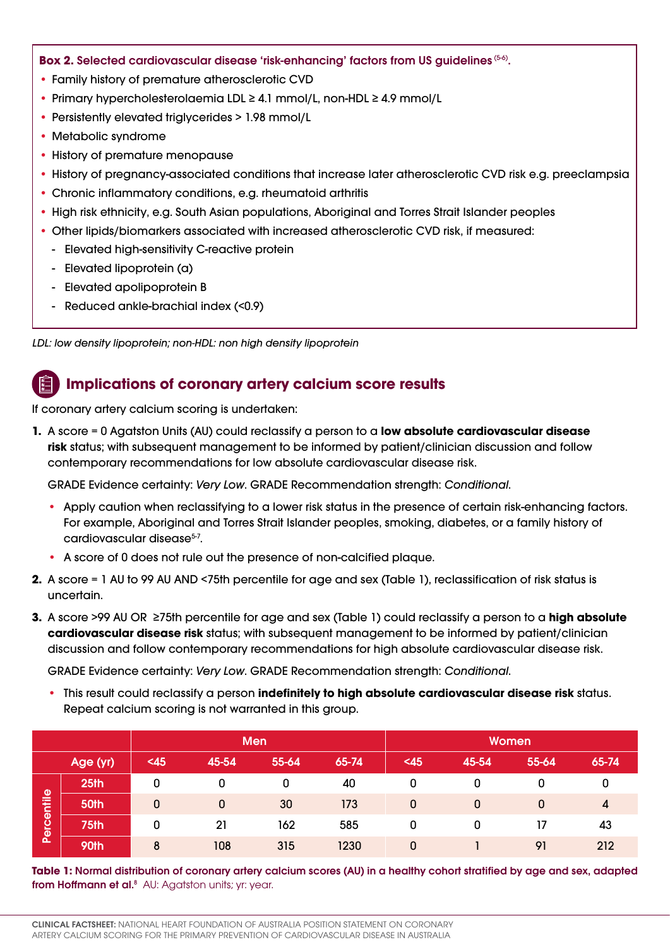#### **Box 2.** Selected cardiovascular disease 'risk-enhancing' factors from US guidelines (5-6).

- Family history of premature atherosclerotic CVD
- Primary hypercholesterolaemia LDL ≥ 4.1 mmol/L, non-HDL ≥ 4.9 mmol/L
- Persistently elevated triglycerides > 1.98 mmol/L
- Metabolic syndrome
- History of premature menopause
- History of pregnancy-associated conditions that increase later atherosclerotic CVD risk e.g. preeclampsia
- Chronic inflammatory conditions, e.g. rheumatoid arthritis
- High risk ethnicity, e.g. South Asian populations, Aboriginal and Torres Strait Islander peoples
- Other lipids/biomarkers associated with increased atherosclerotic CVD risk, if measured:
	- Elevated high-sensitivity C-reactive protein
	- Elevated lipoprotein (a)
	- Elevated apolipoprotein B
	- Reduced ankle-brachial index (<0.9)

*LDL: low density lipoprotein; non-HDL: non high density lipoprotein*

# **Implications of coronary artery calcium score results**

If coronary artery calcium scoring is undertaken:

**1.** A score = 0 Agatston Units (AU) could reclassify a person to a **low absolute cardiovascular disease risk** status; with subsequent management to be informed by patient/clinician discussion and follow contemporary recommendations for low absolute cardiovascular disease risk.

GRADE Evidence certainty: *Very Low*. GRADE Recommendation strength: *Conditional*.

- Apply caution when reclassifying to a lower risk status in the presence of certain risk-enhancing factors. For example, Aboriginal and Torres Strait Islander peoples, smoking, diabetes, or a family history of cardiovascular disease<sup>5-7</sup>.
- A score of 0 does not rule out the presence of non-calcified plaque.
- **2.** A score = 1 AU to 99 AU AND <75th percentile for age and sex (Table 1), reclassification of risk status is uncertain.
- **3.** A score >99 AU OR ≥75th percentile for age and sex (Table 1) could reclassify a person to a **high absolute cardiovascular disease risk** status; with subsequent management to be informed by patient/clinician discussion and follow contemporary recommendations for high absolute cardiovascular disease risk.

GRADE Evidence certainty: *Very Low*. GRADE Recommendation strength: *Conditional*.

• This result could reclassify a person **indefinitely to high absolute cardiovascular disease risk** status. Repeat calcium scoring is not warranted in this group.

|            |                                                                                                                                                                                               | <b>Men</b>   |              |       |       | Women        |              |              |                |
|------------|-----------------------------------------------------------------------------------------------------------------------------------------------------------------------------------------------|--------------|--------------|-------|-------|--------------|--------------|--------------|----------------|
|            | Age (yr)                                                                                                                                                                                      | $45$         | 45-54        | 55-64 | 65-74 | $45$         | 45-54        | 55-64        | 65-74          |
| Percentile | 25 <sub>th</sub>                                                                                                                                                                              | 0            | 0            | 0     | 40    | 0            | 0            | <sup>0</sup> | 0              |
|            | 50th                                                                                                                                                                                          | $\mathbf{0}$ | $\mathbf{0}$ | 30    | 173   | $\mathbf{0}$ | $\mathbf{0}$ | $\mathbf{0}$ | $\overline{4}$ |
|            | 75th                                                                                                                                                                                          | 0            | 21           | 162   | 585   | 0            | $\Omega$     | 17           | 43             |
|            | 90th                                                                                                                                                                                          | 8            | 108          | 315   | 1230  | $\mathbf{0}$ |              | 91           | 212            |
|            | Table 1: Normal distribution of coronary artery calcium scores (AU) in a healthy cohort stratified by age and sex, adapted<br>from Hoffmann et al. <sup>8</sup> AU: Agatston units; yr: year. |              |              |       |       |              |              |              |                |
|            | <b>CLINICAL FACTSHEET:</b> NATIONAL HEART FOUNDATION OF AUSTRALIA POSITION STATEMENT ON CORONARY<br>ARTERY CALCIUM SCORING FOR THE PRIMARY PREVENTION OF CARDIOVASCULAR DISEASE IN AUSTRALIA  |              |              |       |       |              |              |              |                |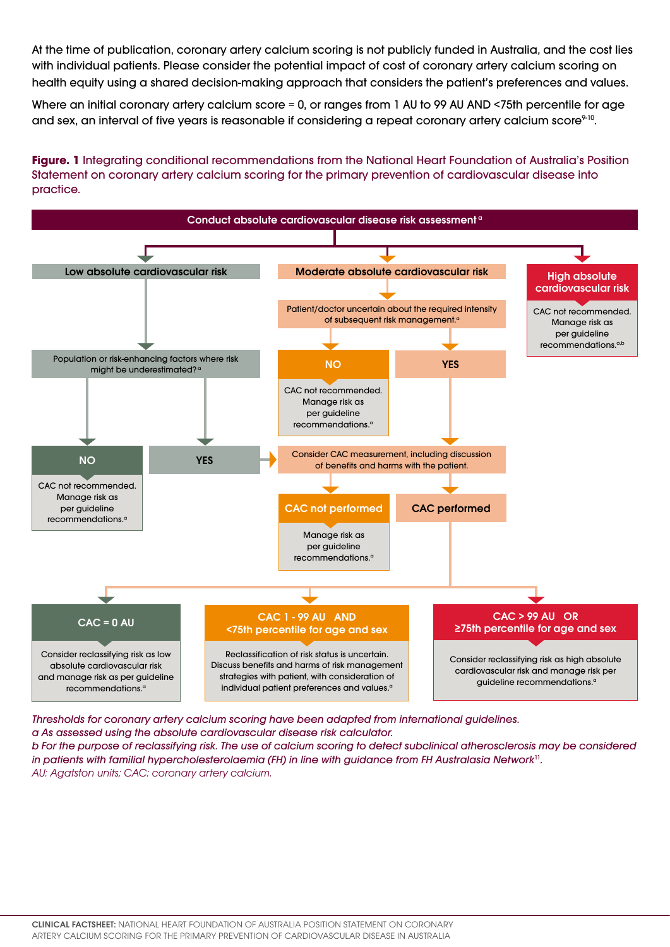At the time of publication, coronary artery calcium scoring is not publicly funded in Australia, and the cost lies with individual patients. Please consider the potential impact of cost of coronary artery calcium scoring on health equity using a shared decision-making approach that considers the patient's preferences and values.

Where an initial coronary artery calcium score = 0, or ranges from 1 AU to 99 AU AND <75th percentile for age and sex, an interval of five years is reasonable if considering a repeat coronary artery calcium score<sup>9-10</sup>.

**Figure. 1** Integrating conditional recommendations from the National Heart Foundation of Australia's Position Statement on coronary artery calcium scoring for the primary prevention of cardiovascular disease into practice.



*Thresholds for coronary artery calcium scoring have been adapted from international guidelines.* 

*a As assessed using the absolute cardiovascular disease risk calculator.* 

*b For the purpose of reclassifying risk. The use of calcium scoring to detect subclinical atherosclerosis may be considered in patients with familial hypercholesterolaemia (FH) in line with guidance from FH Australasia Network*<sup>11</sup>. *AU: Agatston units; CAC: coronary artery calcium.*